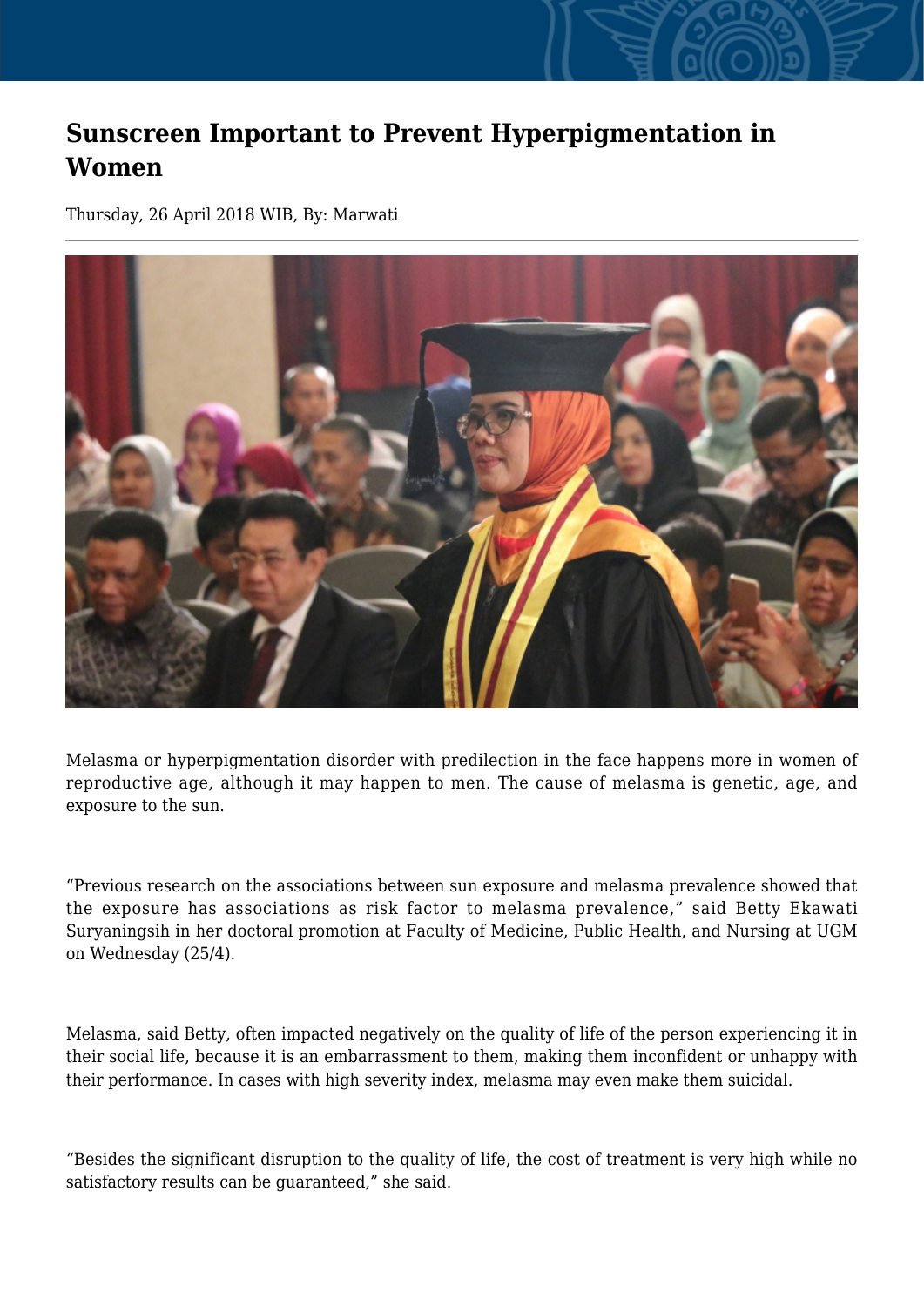## **Sunscreen Important to Prevent Hyperpigmentation in Women**

Thursday, 26 April 2018 WIB, By: Marwati



Melasma or hyperpigmentation disorder with predilection in the face happens more in women of reproductive age, although it may happen to men. The cause of melasma is genetic, age, and exposure to the sun.

"Previous research on the associations between sun exposure and melasma prevalence showed that the exposure has associations as risk factor to melasma prevalence," said Betty Ekawati Suryaningsih in her doctoral promotion at Faculty of Medicine, Public Health, and Nursing at UGM on Wednesday (25/4).

Melasma, said Betty, often impacted negatively on the quality of life of the person experiencing it in their social life, because it is an embarrassment to them, making them inconfident or unhappy with their performance. In cases with high severity index, melasma may even make them suicidal.

"Besides the significant disruption to the quality of life, the cost of treatment is very high while no satisfactory results can be guaranteed," she said.